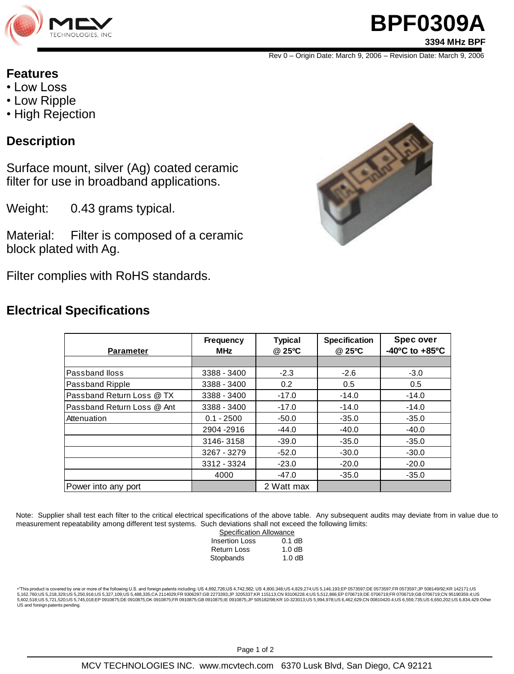

## **BPF0309A 3394 MHz BPF**

Rev 0 – Origin Date: March 9, 2006 – Revision Date: March 9, 2006

#### **Features**

- Low Loss
- Low Ripple
- High Rejection

### **Description**

Surface mount, silver (Ag) coated ceramic filter for use in broadband applications.

Weight: 0.43 grams typical.

Material: Filter is composed of a ceramic block plated with Ag.

Filter complies with RoHS standards.

### **Electrical Specifications**



| <b>Parameter</b>           | <b>Frequency</b><br><b>MHz</b> | <b>Typical</b><br>@ 25°C | <b>Specification</b><br>@ 25°C | <b>Spec over</b><br>$-40^{\circ}$ C to $+85^{\circ}$ C |  |
|----------------------------|--------------------------------|--------------------------|--------------------------------|--------------------------------------------------------|--|
|                            |                                |                          |                                |                                                        |  |
| Passband Iloss             | 3388 - 3400                    | $-2.3$                   | $-2.6$                         | $-3.0$                                                 |  |
| Passband Ripple            | 3388 - 3400                    | 0.2                      | 0.5                            | 0.5                                                    |  |
| Passband Return Loss @ TX  | 3388 - 3400                    | $-17.0$                  | $-14.0$                        | $-14.0$                                                |  |
| Passband Return Loss @ Ant | 3388 - 3400                    | $-17.0$                  | $-14.0$                        | $-14.0$                                                |  |
| Attenuation                | $0.1 - 2500$                   | $-50.0$                  | $-35.0$                        | $-35.0$                                                |  |
|                            | 2904 - 2916                    | $-44.0$                  | $-40.0$                        | $-40.0$                                                |  |
|                            | 3146-3158                      | $-39.0$                  | $-35.0$                        | $-35.0$                                                |  |
|                            | 3267 - 3279                    | $-52.0$                  | $-30.0$                        | $-30.0$                                                |  |
|                            | 3312 - 3324                    | $-23.0$                  | $-20.0$                        | $-20.0$                                                |  |
|                            | 4000                           | $-47.0$                  | $-35.0$                        | $-35.0$                                                |  |
| Power into any port        |                                | 2 Watt max               |                                |                                                        |  |

Note: Supplier shall test each filter to the critical electrical specifications of the above table. Any subsequent audits may deviate from in value due to measurement repeatability among different test systems. Such deviations shall not exceed the following limits:

| <b>Specification Allowance</b> |          |
|--------------------------------|----------|
| <b>Insertion Loss</b>          | $0.1$ dB |
| <b>Return Loss</b>             | 1.0dB    |
| Stopbands                      | 1.0dB    |

•"This product is covered by one or more of the following U.S. and foreign patents including: US 4,692,726;US 4,742,562; US 4,800,348;US 4,829,274;US 5,146,193;EP 0573597;DE 0573597;FR 0573597;JP 508149/92;KR 142171;US 5,162,760;US 5,218,329;US 5,250,916;US 5,327,109;US 5,488,335;CA 2114029;FR 9306297;GB 2273393;JP 3205337;KR 115113;CN 93106228.4;US 5,512,866;EP 0706719;DE 0706719;FR 0706719;GB 0706719;CB 0706719;CB 0706719;CN 95190359.4 US and foreign patents pending.